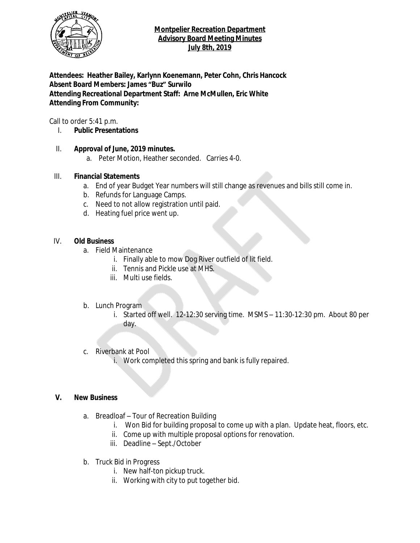

# **Montpelier Recreation Department Advisory Board Meeting Minutes July 8th, 2019**

**Attendees: Heather Bailey, Karlynn Koenemann, Peter Cohn, Chris Hancock Absent Board Members: James "Buz" Surwilo Attending Recreational Department Staff: Arne McMullen, Eric White Attending From Community:**

Call to order 5:41 p.m.

- I. **Public Presentations**
- II. **Approval of June, 2019 minutes.**
	- a. Peter Motion, Heather seconded. Carries 4-0.

# III. **Financial Statements**

- a. End of year Budget Year numbers will still change as revenues and bills still come in.
- b. Refunds for Language Camps.
- c. Need to not allow registration until paid.
- d. Heating fuel price went up.

# IV. **Old Business**

- a. Field Maintenance
	- i. Finally able to mow Dog River outfield of lit field.
	- ii. Tennis and Pickle use at MHS.
	- iii. Multi use fields.
- b. Lunch Program
	- i. Started off well. 12-12:30 serving time. MSMS 11:30-12:30 pm. About 80 per day.
- c. Riverbank at Pool
	- i. Work completed this spring and bank is fully repaired.

### **V. New Business**

- a. Breadloaf Tour of Recreation Building
	- i. Won Bid for building proposal to come up with a plan. Update heat, floors, etc.
	- ii. Come up with multiple proposal options for renovation.
	- iii. Deadline Sept./October
- b. Truck Bid in Progress
	- i. New half-ton pickup truck.
	- ii. Working with city to put together bid.